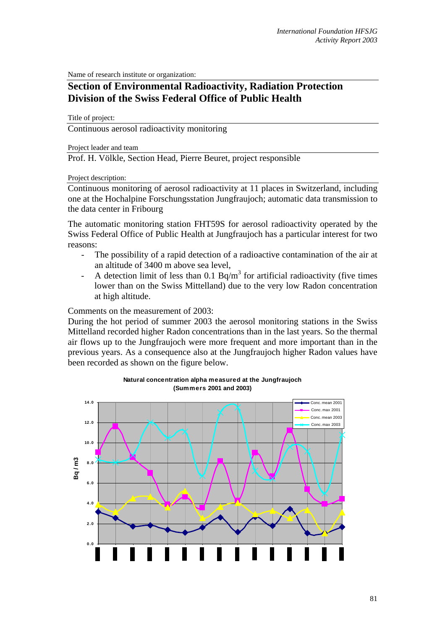Name of research institute or organization:

## **Section of Environmental Radioactivity, Radiation Protection Division of the Swiss Federal Office of Public Health**

Title of project:

Continuous aerosol radioactivity monitoring

Project leader and team

Prof. H. Völkle, Section Head, Pierre Beuret, project responsible

Project description:

Continuous monitoring of aerosol radioactivity at 11 places in Switzerland, including one at the Hochalpine Forschungsstation Jungfraujoch; automatic data transmission to the data center in Fribourg

The automatic monitoring station FHT59S for aerosol radioactivity operated by the Swiss Federal Office of Public Health at Jungfraujoch has a particular interest for two reasons:

- The possibility of a rapid detection of a radioactive contamination of the air at an altitude of 3400 m above sea level,
- A detection limit of less than 0.1 Bq/m<sup>3</sup> for artificial radioactivity (five times lower than on the Swiss Mittelland) due to the very low Radon concentration at high altitude.

Comments on the measurement of 2003:

During the hot period of summer 2003 the aerosol monitoring stations in the Swiss Mittelland recorded higher Radon concentrations than in the last years. So the thermal air flows up to the Jungfraujoch were more frequent and more important than in the previous years. As a consequence also at the Jungfraujoch higher Radon values have been recorded as shown on the figure below.



**Natural concentration alpha measured at the Jungfraujoch (Summers 2001 and 2003)**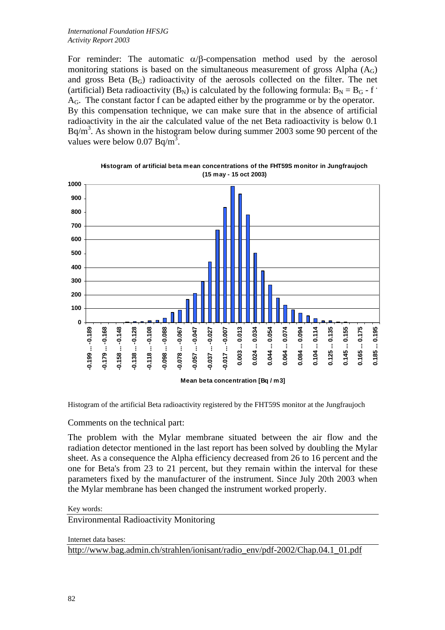For reminder: The automatic  $\alpha/\beta$ -compensation method used by the aerosol monitoring stations is based on the simultaneous measurement of gross Alpha  $(A<sub>G</sub>)$ and gross Beta  $(B<sub>G</sub>)$  radioactivity of the aerosols collected on the filter. The net (artificial) Beta radioactivity ( $B_N$ ) is calculated by the following formula:  $B_N = B_G - f$ <sup>.</sup>  $A_G$ . The constant factor f can be adapted either by the programme or by the operator. By this compensation technique, we can make sure that in the absence of artificial radioactivity in the air the calculated value of the net Beta radioactivity is below 0.1  $Bq/m<sup>3</sup>$ . As shown in the histogram below during summer 2003 some 90 percent of the values were below  $0.07 \text{ Bq/m}^3$ .



**Histogram of artificial beta mean concentrations of the FHT59S monitor in Jungfraujoch (15 may - 15 oct 2003)**

Histogram of the artificial Beta radioactivity registered by the FHT59S monitor at the Jungfraujoch

Comments on the technical part:

The problem with the Mylar membrane situated between the air flow and the radiation detector mentioned in the last report has been solved by doubling the Mylar sheet. As a consequence the Alpha efficiency decreased from 26 to 16 percent and the one for Beta's from 23 to 21 percent, but they remain within the interval for these parameters fixed by the manufacturer of the instrument. Since July 20th 2003 when the Mylar membrane has been changed the instrument worked properly.

## Key words:

Environmental Radioactivity Monitoring

Internet data bases:

http://www.bag.admin.ch/strahlen/ionisant/radio\_env/pdf-2002/Chap.04.1\_01.pdf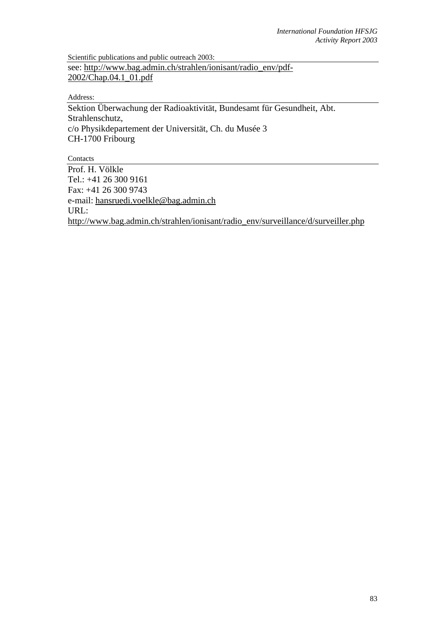Scientific publications and public outreach 2003: see: http://www.bag.admin.ch/strahlen/ionisant/radio\_env/pdf-2002/Chap.04.1\_01.pdf

Address:

Sektion Überwachung der Radioaktivität, Bundesamt für Gesundheit, Abt. Strahlenschutz, c/o Physikdepartement der Universität, Ch. du Musée 3 CH-1700 Fribourg

**Contacts** 

Prof. H. Völkle Tel.: +41 26 300 9161 Fax: +41 26 300 9743 e-mail: hansruedi.voelkle@bag.admin.ch URL: http://www.bag.admin.ch/strahlen/ionisant/radio\_env/surveillance/d/surveiller.php